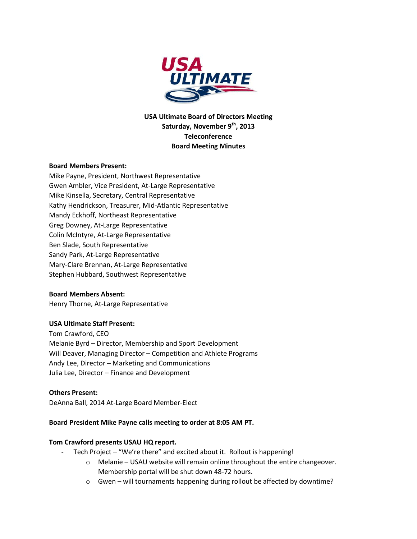

**USA Ultimate Board of Directors Meeting Saturday, November 9th, 2013 Teleconference Board Meeting Minutes**

## **Board Members Present:**

Mike Payne, President, Northwest Representative Gwen Ambler, Vice President, At-Large Representative Mike Kinsella, Secretary, Central Representative Kathy Hendrickson, Treasurer, Mid-Atlantic Representative Mandy Eckhoff, Northeast Representative Greg Downey, At-Large Representative Colin McIntyre, At-Large Representative Ben Slade, South Representative Sandy Park, At-Large Representative Mary-Clare Brennan, At-Large Representative Stephen Hubbard, Southwest Representative

## **Board Members Absent:**

Henry Thorne, At-Large Representative

## **USA Ultimate Staff Present:**

Tom Crawford, CEO Melanie Byrd – Director, Membership and Sport Development Will Deaver, Managing Director – Competition and Athlete Programs Andy Lee, Director – Marketing and Communications Julia Lee, Director – Finance and Development

### **Others Present:**

DeAnna Ball, 2014 At-Large Board Member-Elect

#### **Board President Mike Payne calls meeting to order at 8:05 AM PT.**

#### **Tom Crawford presents USAU HQ report.**

- Tech Project "We're there" and excited about it. Rollout is happening!
	- o Melanie USAU website will remain online throughout the entire changeover. Membership portal will be shut down 48-72 hours.
	- $\circ$  Gwen will tournaments happening during rollout be affected by downtime?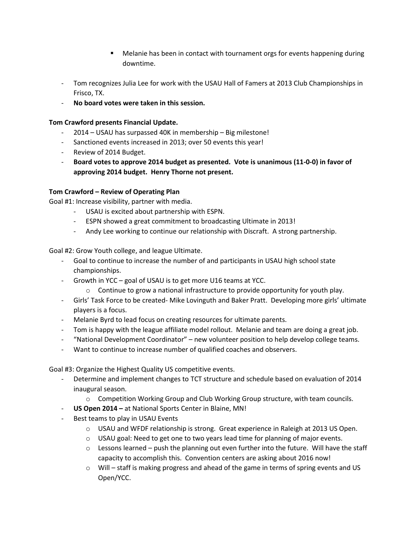- Melanie has been in contact with tournament orgs for events happening during downtime.
- Tom recognizes Julia Lee for work with the USAU Hall of Famers at 2013 Club Championships in Frisco, TX.
- **No board votes were taken in this session.**

## **Tom Crawford presents Financial Update.**

- 2014 USAU has surpassed 40K in membership Big milestone!
- Sanctioned events increased in 2013; over 50 events this year!
- Review of 2014 Budget.
- **Board votes to approve 2014 budget as presented. Vote is unanimous (11-0-0) in favor of approving 2014 budget. Henry Thorne not present.**

## **Tom Crawford – Review of Operating Plan**

Goal #1: Increase visibility, partner with media.

- USAU is excited about partnership with ESPN.
- ESPN showed a great commitment to broadcasting Ultimate in 2013!
- Andy Lee working to continue our relationship with Discraft. A strong partnership.

Goal #2: Grow Youth college, and league Ultimate.

- Goal to continue to increase the number of and participants in USAU high school state championships.
- Growth in YCC goal of USAU is to get more U16 teams at YCC.
	- $\circ$  Continue to grow a national infrastructure to provide opportunity for youth play.
- Girls' Task Force to be created- Mike Lovinguth and Baker Pratt. Developing more girls' ultimate players is a focus.
- Melanie Byrd to lead focus on creating resources for ultimate parents.
- Tom is happy with the league affiliate model rollout. Melanie and team are doing a great job.
- "National Development Coordinator" new volunteer position to help develop college teams.
- Want to continue to increase number of qualified coaches and observers.

Goal #3: Organize the Highest Quality US competitive events.

- Determine and implement changes to TCT structure and schedule based on evaluation of 2014 inaugural season.
	- o Competition Working Group and Club Working Group structure, with team councils.
- **US Open 2014 –** at National Sports Center in Blaine, MN!
- Best teams to play in USAU Events
	- o USAU and WFDF relationship is strong. Great experience in Raleigh at 2013 US Open.
	- $\circ$  USAU goal: Need to get one to two years lead time for planning of major events.
	- $\circ$  Lessons learned push the planning out even further into the future. Will have the staff capacity to accomplish this. Convention centers are asking about 2016 now!
	- $\circ$  Will staff is making progress and ahead of the game in terms of spring events and US Open/YCC.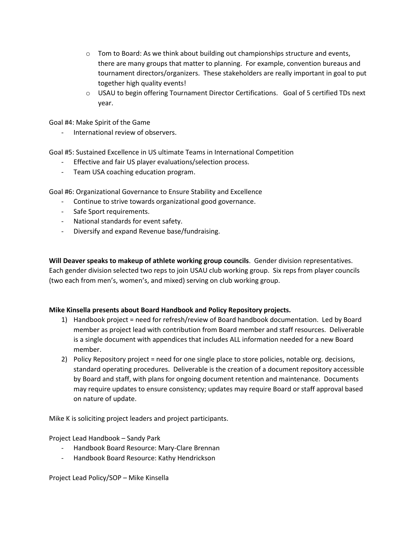- $\circ$  Tom to Board: As we think about building out championships structure and events, there are many groups that matter to planning. For example, convention bureaus and tournament directors/organizers. These stakeholders are really important in goal to put together high quality events!
- o USAU to begin offering Tournament Director Certifications. Goal of 5 certified TDs next year.

Goal #4: Make Spirit of the Game

International review of observers.

Goal #5: Sustained Excellence in US ultimate Teams in International Competition

- Effective and fair US player evaluations/selection process.
- Team USA coaching education program.

Goal #6: Organizational Governance to Ensure Stability and Excellence

- Continue to strive towards organizational good governance.
- Safe Sport requirements.
- National standards for event safety.
- Diversify and expand Revenue base/fundraising.

**Will Deaver speaks to makeup of athlete working group councils**. Gender division representatives. Each gender division selected two reps to join USAU club working group. Six reps from player councils (two each from men's, women's, and mixed) serving on club working group.

#### **Mike Kinsella presents about Board Handbook and Policy Repository projects.**

- 1) Handbook project = need for refresh/review of Board handbook documentation. Led by Board member as project lead with contribution from Board member and staff resources. Deliverable is a single document with appendices that includes ALL information needed for a new Board member.
- 2) Policy Repository project = need for one single place to store policies, notable org. decisions, standard operating procedures. Deliverable is the creation of a document repository accessible by Board and staff, with plans for ongoing document retention and maintenance. Documents may require updates to ensure consistency; updates may require Board or staff approval based on nature of update.

Mike K is soliciting project leaders and project participants.

Project Lead Handbook – Sandy Park

- Handbook Board Resource: Mary-Clare Brennan
- Handbook Board Resource: Kathy Hendrickson

Project Lead Policy/SOP – Mike Kinsella